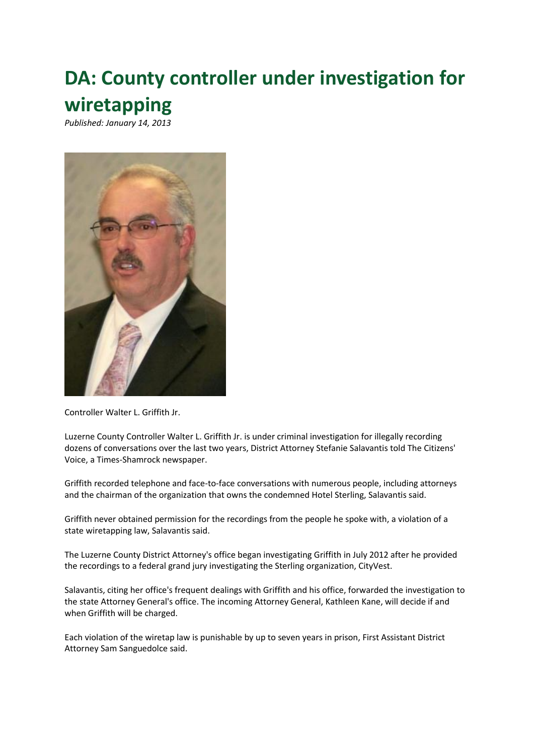## **DA: County controller under investigation for wiretapping**

*Published: January 14, 2013*



Controller Walter L. Griffith Jr.

Luzerne County Controller Walter L. Griffith Jr. is under criminal investigation for illegally recording dozens of conversations over the last two years, District Attorney Stefanie Salavantis told The Citizens' Voice, a Times-Shamrock newspaper.

Griffith recorded telephone and face-to-face conversations with numerous people, including attorneys and the chairman of the organization that owns the condemned Hotel Sterling, Salavantis said.

Griffith never obtained permission for the recordings from the people he spoke with, a violation of a state wiretapping law, Salavantis said.

The Luzerne County District Attorney's office began investigating Griffith in July 2012 after he provided the recordings to a federal grand jury investigating the Sterling organization, CityVest.

Salavantis, citing her office's frequent dealings with Griffith and his office, forwarded the investigation to the state Attorney General's office. The incoming Attorney General, Kathleen Kane, will decide if and when Griffith will be charged.

Each violation of the wiretap law is punishable by up to seven years in prison, First Assistant District Attorney Sam Sanguedolce said.